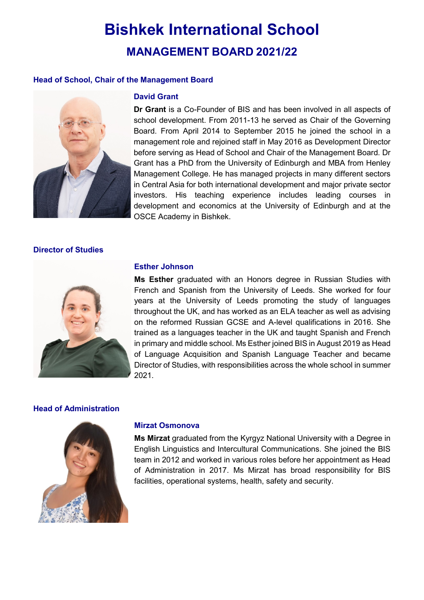# **Bishkek International School MANAGEMENT BOARD 2021/22**

## **Head of School, Chair of the Management Board**



#### **David Grant**

**Dr Grant** is a Co-Founder of BIS and has been involved in all aspects of school development. From 2011-13 he served as Chair of the Governing Board. From April 2014 to September 2015 he joined the school in a management role and rejoined staff in May 2016 as Development Director before serving as Head of School and Chair of the Management Board. Dr Grant has a PhD from the University of Edinburgh and MBA from Henley Management College. He has managed projects in many different sectors in Central Asia for both international development and major private sector investors. His teaching experience includes leading courses in development and economics at the University of Edinburgh and at the OSCE Academy in Bishkek.

#### **Director of Studies**



#### **Esther Johnson**

**Ms Esther** graduated with an Honors degree in Russian Studies with French and Spanish from the University of Leeds. She worked for four years at the University of Leeds promoting the study of languages throughout the UK, and has worked as an ELA teacher as well as advising on the reformed Russian GCSE and A-level qualifications in 2016. She trained as a languages teacher in the UK and taught Spanish and French in primary and middle school. Ms Esther joined BIS in August 2019 as Head of Language Acquisition and Spanish Language Teacher and became Director of Studies, with responsibilities across the whole school in summer 2021.

#### **Head of Administration**



#### **Mirzat Osmonova**

**Ms Mirzat** graduated from the Kyrgyz National University with a Degree in English Linguistics and Intercultural Communications. She joined the BIS team in 2012 and worked in various roles before her appointment as Head of Administration in 2017. Ms Mirzat has broad responsibility for BIS facilities, operational systems, health, safety and security.